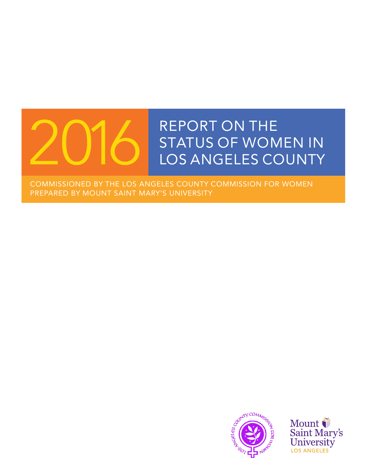# REPORT ON THE STATUS OF WOMEN IN<br>LOS ANGELES COUNTY

COMMISSIONED BY THE LOS ANGELES COUNTY COMMISSION FOR WOMEN PREPARED BY MOUNT SAINT MARY'S UNIVERSITY



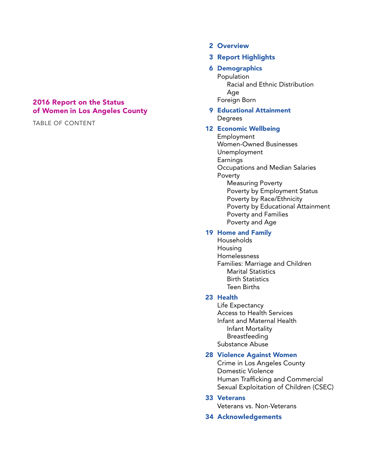#### 2016 Report on the Status of Women in Los Angeles County

TABLE OF CONTENT

#### 2 Overview

#### 3 Report Highlights

#### 6 Demographics

 Population Racial and Ethnic Distribution Age Foreign Born

#### 9 Educational Attainment **Degrees**

#### 12 Economic Wellbeing

 Employment Women-Owned Businesses Unemployment Earnings Occupations and Median Salaries Poverty Measuring Poverty Poverty by Employment Status Poverty by Race/Ethnicity Poverty by Educational Attainment Poverty and Families Poverty and Age

#### 19 Home and Family

 Households Housing Homelessness Families: Marriage and Children Marital Statistics Birth Statistics Teen Births

#### 23 Health

 Life Expectancy Access to Health Services Infant and Maternal Health Infant Mortality Breastfeeding Substance Abuse

#### 28 Violence Against Women

 Crime in Los Angeles County Domestic Violence Human Trafficking and Commercial Sexual Exploitation of Children (CSEC)

#### 33 Veterans

Veterans vs. Non-Veterans

#### 34 Acknowledgements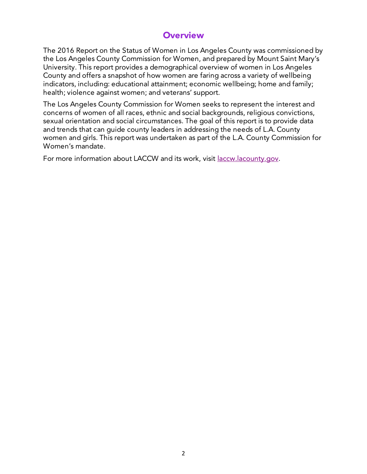# **Overview**

The 2016 Report on the Status of Women in Los Angeles County was commissioned by the Los Angeles County Commission for Women, and prepared by Mount Saint Mary's University. This report provides a demographical overview of women in Los Angeles County and offers a snapshot of how women are faring across a variety of wellbeing indicators, including: educational attainment; economic wellbeing; home and family; health; violence against women; and veterans' support.

The Los Angeles County Commission for Women seeks to represent the interest and concerns of women of all races, ethnic and social backgrounds, religious convictions, sexual orientation and social circumstances. The goal of this report is to provide data and trends that can guide county leaders in addressing the needs of L.A. County women and girls. This report was undertaken as part of the L.A. County Commission for Women's mandate.

For more information about LACCW and its work, visit laccw.lacounty.gov.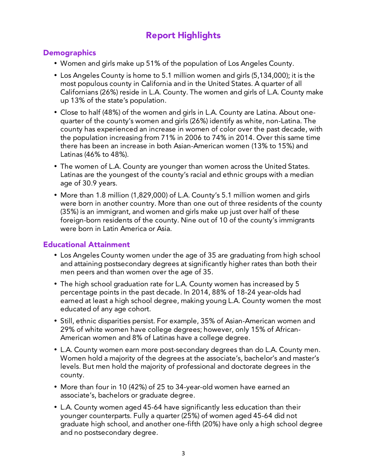# Report Highlights

## **Demographics**

- Women and girls make up 51% of the population of Los Angeles County.
- Los Angeles County is home to 5.1 million women and girls (5,134,000); it is the most populous county in California and in the United States. A quarter of all Californians (26%) reside in L.A. County. The women and girls of L.A. County make up 13% of the state's population.
- Close to half (48%) of the women and girls in L.A. County are Latina. About onequarter of the county's women and girls (26%) identify as white, non-Latina. The county has experienced an increase in women of color over the past decade, with the population increasing from 71% in 2006 to 74% in 2014. Over this same time there has been an increase in both Asian-American women (13% to 15%) and Latinas (46% to 48%).
- The women of L.A. County are younger than women across the United States. Latinas are the youngest of the county's racial and ethnic groups with a median age of 30.9 years.
- More than 1.8 million (1,829,000) of L.A. County's 5.1 million women and girls were born in another country. More than one out of three residents of the county (35%) is an immigrant, and women and girls make up just over half of these foreign-born residents of the county. Nine out of 10 of the county's immigrants were born in Latin America or Asia.

# Educational Attainment

- Los Angeles County women under the age of 35 are graduating from high school and attaining postsecondary degrees at significantly higher rates than both their men peers and than women over the age of 35.
- The high school graduation rate for L.A. County women has increased by 5 percentage points in the past decade. In 2014, 88% of 18-24 year-olds had earned at least a high school degree, making young L.A. County women the most educated of any age cohort.
- Still, ethnic disparities persist. For example, 35% of Asian-American women and 29% of white women have college degrees; however, only 15% of African-American women and 8% of Latinas have a college degree.
- L.A. County women earn more post-secondary degrees than do L.A. County men. Women hold a majority of the degrees at the associate's, bachelor's and master's levels. But men hold the majority of professional and doctorate degrees in the county.
- More than four in 10 (42%) of 25 to 34-year-old women have earned an associate's, bachelors or graduate degree.
- L.A. County women aged 45-64 have significantly less education than their younger counterparts. Fully a quarter (25%) of women aged 45-64 did not graduate high school, and another one-fifth (20%) have only a high school degree and no postsecondary degree.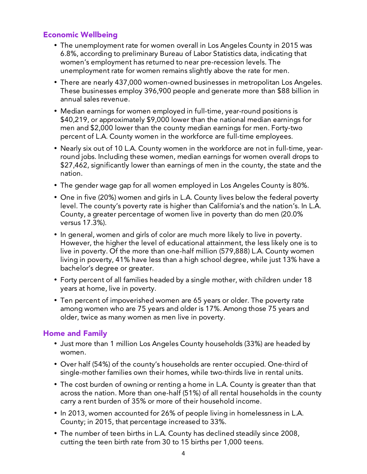#### Economic Wellbeing

- The unemployment rate for women overall in Los Angeles County in 2015 was 6.8%, according to preliminary Bureau of Labor Statistics data, indicating that women's employment has returned to near pre-recession levels. The unemployment rate for women remains slightly above the rate for men.
- There are nearly 437,000 women-owned businesses in metropolitan Los Angeles. These businesses employ 396,900 people and generate more than \$88 billion in annual sales revenue.
- Median earnings for women employed in full-time, year-round positions is \$40,219, or approximately \$9,000 lower than the national median earnings for men and \$2,000 lower than the county median earnings for men. Forty-two percent of L.A. County women in the workforce are full-time employees.
- Nearly six out of 10 L.A. County women in the workforce are not in full-time, yearround jobs. Including these women, median earnings for women overall drops to \$27,462, significantly lower than earnings of men in the county, the state and the nation.
- The gender wage gap for all women employed in Los Angeles County is 80%.
- One in five (20%) women and girls in L.A. County lives below the federal poverty level. The county's poverty rate is higher than California's and the nation's. In L.A. County, a greater percentage of women live in poverty than do men (20.0% versus 17.3%).
- In general, women and girls of color are much more likely to live in poverty. However, the higher the level of educational attainment, the less likely one is to live in poverty. Of the more than one-half million (579,888) L.A. County women living in poverty, 41% have less than a high school degree, while just 13% have a bachelor's degree or greater.
- Forty percent of all families headed by a single mother, with children under 18 years at home, live in poverty.
- Ten percent of impoverished women are 65 years or older. The poverty rate among women who are 75 years and older is 17%. Among those 75 years and older, twice as many women as men live in poverty.

# Home and Family

- Just more than 1 million Los Angeles County households (33%) are headed by women.
- Over half (54%) of the county's households are renter occupied. One-third of single-mother families own their homes, while two-thirds live in rental units.
- The cost burden of owning or renting a home in L.A. County is greater than that across the nation. More than one-half (51%) of all rental households in the county carry a rent burden of 35% or more of their household income.
- In 2013, women accounted for 26% of people living in homelessness in L.A. County; in 2015, that percentage increased to 33%.
- The number of teen births in L.A. County has declined steadily since 2008, cutting the teen birth rate from 30 to 15 births per 1,000 teens.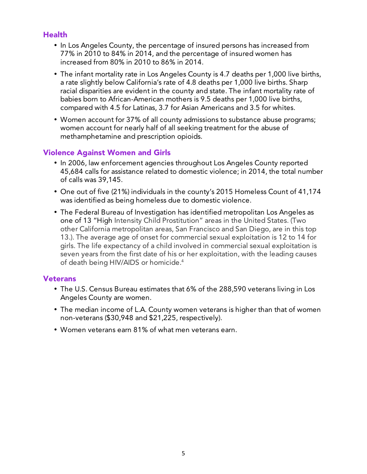# **Health**

- In Los Angeles County, the percentage of insured persons has increased from 77% in 2010 to 84% in 2014, and the percentage of insured women has increased from 80% in 2010 to 86% in 2014.
- The infant mortality rate in Los Angeles County is 4.7 deaths per 1,000 live births, a rate slightly below California's rate of 4.8 deaths per 1,000 live births. Sharp racial disparities are evident in the county and state. The infant mortality rate of babies born to African-American mothers is 9.5 deaths per 1,000 live births, compared with 4.5 for Latinas, 3.7 for Asian Americans and 3.5 for whites.
- Women account for 37% of all county admissions to substance abuse programs; women account for nearly half of all seeking treatment for the abuse of methamphetamine and prescription opioids.

# Violence Against Women and Girls

- In 2006, law enforcement agencies throughout Los Angeles County reported 45,684 calls for assistance related to domestic violence; in 2014, the total number of calls was 39,145.
- One out of five (21%) individuals in the county's 2015 Homeless Count of 41,174 was identified as being homeless due to domestic violence.
- The Federal Bureau of Investigation has identified metropolitan Los Angeles as one of 13 "High Intensity Child Prostitution" areas in the United States. (Two other California metropolitan areas, San Francisco and San Diego, are in this top 13.). The average age of onset for commercial sexual exploitation is 12 to 14 for girls. The life expectancy of a child involved in commercial sexual exploitation is seven years from the first date of his or her exploitation, with the leading causes of death being HIV/AIDS or homicide.4

#### **Veterans**

- The U.S. Census Bureau estimates that 6% of the 288,590 veterans living in Los Angeles County are women.
- The median income of L.A. County women veterans is higher than that of women non-veterans (\$30,948 and \$21,225, respectively).
- Women veterans earn 81% of what men veterans earn.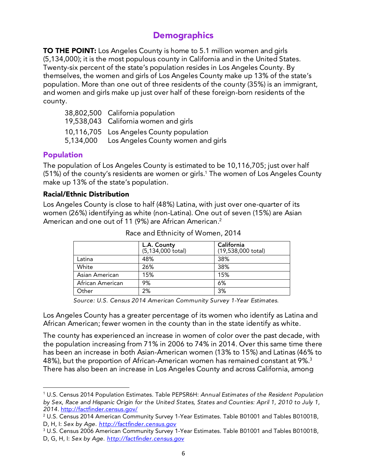# **Demographics**

**TO THE POINT:** Los Angeles County is home to 5.1 million women and girls (5,134,000); it is the most populous county in California and in the United States. Twenty-six percent of the state's population resides in Los Angeles County. By themselves, the women and girls of Los Angeles County make up 13% of the state's population. More than one out of three residents of the county (35%) is an immigrant, and women and girls make up just over half of these foreign-born residents of the county.

| 38,802,500 California population             |
|----------------------------------------------|
| 19,538,043 California women and girls        |
| 10,116,705 Los Angeles County population     |
| 5,134,000 Los Angeles County women and girls |

# Population

The population of Los Angeles County is estimated to be 10,116,705; just over half (51%) of the county's residents are women or girls. 1 The women of Los Angeles County make up 13% of the state's population.

#### Racial/Ethnic Distribution

<u> 1989 - Jan Samuel Barbara, político establecido de la provincia de la provincia de la provincia de la provinci</u>

Los Angeles County is close to half (48%) Latina, with just over one-quarter of its women (26%) identifying as white (non-Latina). One out of seven (15%) are Asian American and one out of 11 (9%) are African American. 2

|                  | L.A. County<br>$(5, 134, 000 \text{ total})$ | California<br>(19,538,000 total) |
|------------------|----------------------------------------------|----------------------------------|
| Latina           | 48%                                          | 38%                              |
| White            | 26%                                          | 38%                              |
| Asian American   | 15%                                          | 15%                              |
| African American | 9%                                           | 6%                               |
| Other            | 2%                                           | 3%                               |

Race and Ethnicity of Women, 2014

*Source: U.S. Census 2014 American Community Survey 1-Year Estimates.* 

Los Angeles County has a greater percentage of its women who identify as Latina and African American; fewer women in the county than in the state identify as white.

The county has experienced an increase in women of color over the past decade, with the population increasing from 71% in 2006 to 74% in 2014. Over this same time there has been an increase in both Asian-American women (13% to 15%) and Latinas (46% to 48%), but the proportion of African-American women has remained constant at 9%. $^{\rm 3}$ There has also been an increase in Los Angeles County and across California, among

<sup>1</sup> U.S. Census 2014 Population Estimates. Table PEPSR6H: *Annual Estimates of the Resident Population by Sex, Race and Hispanic Origin for the United States, States and Counties: April 1, 2010 to July 1, 2014*. http://factfinder.census.gov/

 $^{\rm 2}$  U.S. Census 2014 American Community Survey 1-Year Estimates. Table B01001 and Tables B01001B, D, H, I: *Sex by Age. http://factfinder.census.gov*

 $^{\rm 3}$  U.S. Census 2006 American Community Survey 1-Year Estimates. Table B01001 and Tables B01001B, D, G, H, I: *Sex by Age. http://factfinder.census.gov*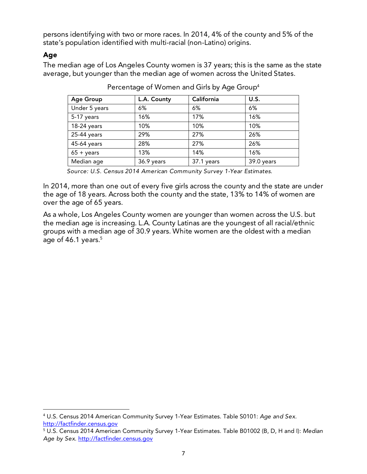persons identifying with two or more races. In 2014, 4% of the county and 5% of the state's population identified with multi-racial (non-Latino) origins.

#### Age

The median age of Los Angeles County women is 37 years; this is the same as the state average, but younger than the median age of women across the United States.

| <b>Age Group</b>    | L.A. County | California | U.S.       |
|---------------------|-------------|------------|------------|
| Under 5 years       | 6%          | 6%         | 6%         |
| 5-17 years          | 16%         | 17%        | 16%        |
| 18-24 years         | 10%         | 10%        | 10%        |
| 25-44 years         | 29%         | 27%        | 26%        |
| 45-64 years         | 28%         | 27%        | 26%        |
| $65 + \text{years}$ | 13%         | 14%        | 16%        |
| Median age          | 36.9 years  | 37.1 years | 39.0 years |

Percentage of Women and Girls by Age Group4

*Source: U.S. Census 2014 American Community Survey 1-Year Estimates.* 

In 2014, more than one out of every five girls across the county and the state are under the age of 18 years. Across both the county and the state, 13% to 14% of women are over the age of 65 years.

As a whole, Los Angeles County women are younger than women across the U.S. but the median age is increasing. L.A. County Latinas are the youngest of all racial/ethnic groups with a median age of 30.9 years. White women are the oldest with a median age of 46.1 years. 5

 

<sup>4</sup> U.S. Census 2014 American Community Survey 1-Year Estimates. Table S0101: *Age and Sex.*  http://factfinder.census.gov

<sup>5</sup> U.S. Census 2014 American Community Survey 1-Year Estimates. Table B01002 (B, D, H and I): *Median Age by Sex*. http://factfinder.census.gov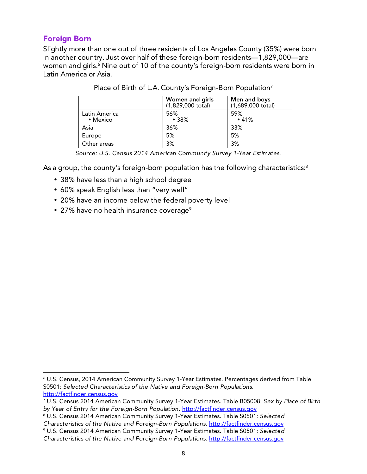## Foreign Born

Slightly more than one out of three residents of Los Angeles County (35%) were born in another country. Just over half of these foreign-born residents—1,829,000—are women and girls. 6 Nine out of 10 of the county's foreign-born residents were born in Latin America or Asia.

|                           | Women and girls<br>$(1,829,000 \text{ total})$ | Men and boys<br>$(1,689,000 \text{ total})$ |
|---------------------------|------------------------------------------------|---------------------------------------------|
| Latin America<br>• Mexico | 56%<br>•38%                                    | 59%<br>•41%                                 |
| Asia                      | 36%                                            | 33%                                         |
| Europe                    | 5%                                             | 5%                                          |
| Other areas               | 3%                                             | 3%                                          |

|  | Place of Birth of L.A. County's Foreign-Born Population7 |  |
|--|----------------------------------------------------------|--|
|  |                                                          |  |
|  |                                                          |  |

*Source: U.S. Census 2014 American Community Survey 1-Year Estimates.* 

As a group, the county's foreign-born population has the following characteristics: $^{\rm 8}$ 

- 38% have less than a high school degree
- 60% speak English less than "very well"
- 20% have an income below the federal poverty level
- 27% have no health insurance coverage<sup>9</sup>

 

8 U.S. Census 2014 American Community Survey 1-Year Estimates. Table S0501: *Selected Characteristics of the Native and Foreign-Born Populations.* http://factfinder.census.gov

 $^{\circ}$  U.S. Census, 2014 American Community Survey 1-Year Estimates. Percentages derived from Table S0501: *Selected Characteristics of the Native and Foreign-Born Populations.*  http://factfinder.census.gov

<sup>7</sup> U.S. Census 2014 American Community Survey 1-Year Estimates. Table B05008: *Sex by Place of Birth by Year of Entry for the Foreign-Born Population.* http://factfinder.census.gov

<sup>9</sup> U.S. Census 2014 American Community Survey 1-Year Estimates. Table S0501: *Selected* 

*Characteristics of the Native and Foreign-Born Populations.* http://factfinder.census.gov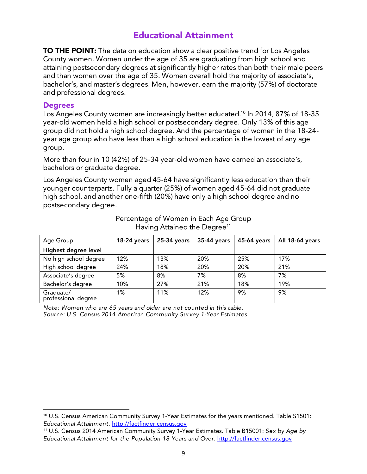# Educational Attainment

**TO THE POINT:** The data on education show a clear positive trend for Los Angeles County women. Women under the age of 35 are graduating from high school and attaining postsecondary degrees at significantly higher rates than both their male peers and than women over the age of 35. Women overall hold the majority of associate's, bachelor's, and master's degrees. Men, however, earn the majority (57%) of doctorate and professional degrees.

#### **Degrees**

Los Angeles County women are increasingly better educated. <sup>10</sup> In 2014, 87% of 18-35 year-old women held a high school or postsecondary degree. Only 13% of this age group did not hold a high school degree. And the percentage of women in the 18-24 year age group who have less than a high school education is the lowest of any age group.

More than four in 10 (42%) of 25-34 year-old women have earned an associate's, bachelors or graduate degree.

Los Angeles County women aged 45-64 have significantly less education than their younger counterparts. Fully a quarter (25%) of women aged 45-64 did not graduate high school, and another one-fifth (20%) have only a high school degree and no postsecondary degree.

| Age Group                        | $18-24$ years | 25-34 years | 35-44 years | 45-64 years | All 18-64 years |
|----------------------------------|---------------|-------------|-------------|-------------|-----------------|
| Highest degree level             |               |             |             |             |                 |
| No high school degree            | 12%           | 13%         | 20%         | 25%         | 17%             |
| High school degree               | 24%           | 18%         | 20%         | 20%         | 21%             |
| Associate's degree               | 5%            | 8%          | 7%          | 8%          | 7%              |
| Bachelor's degree                | 10%           | 27%         | 21%         | 18%         | 19%             |
| Graduate/<br>professional degree | 1%            | 11%         | 12%         | 9%          | 9%              |

Percentage of Women in Each Age Group Having Attained the Degree<sup>11</sup>

*Note: Women who are 65 years and older are not counted in this table. Source: U.S. Census 2014 American Community Survey 1-Year Estimates.* 

 

<sup>10</sup> U.S. Census American Community Survey 1-Year Estimates for the years mentioned. Table S1501: *Educational Attainment.* http://factfinder.census.gov

<sup>11</sup> U.S. Census 2014 American Community Survey 1-Year Estimates. Table B15001: *Sex by Age by Educational Attainment for the Population 18 Years and Over*. http://factfinder.census.gov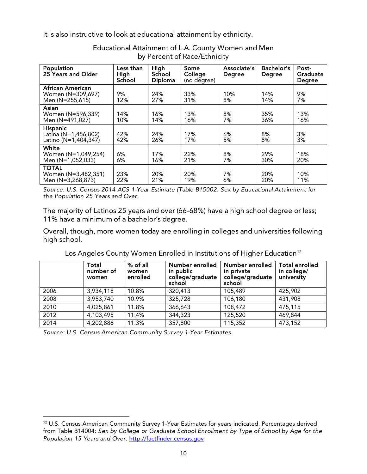It is also instructive to look at educational attainment by ethnicity.

| Population<br>25 Years and Older                                | Less than<br>High<br>School | High<br>School<br>Diploma | Some<br>College<br>(no degree) | Associate's<br><b>Degree</b> | Bachelor's<br><b>Degree</b> | Post-<br>Graduate<br><b>Degree</b> |
|-----------------------------------------------------------------|-----------------------------|---------------------------|--------------------------------|------------------------------|-----------------------------|------------------------------------|
| <b>African American</b><br>Women (N=309,697)<br>Men (N=255,615) | 9%<br>12%                   | 24%<br>27%                | 33%<br>31%                     | 10%<br>8%                    | 14%<br>14%                  | 9%<br>7%                           |
| Asian<br>Women (N=596,339)<br>Men (N=491,027)                   | 14%<br>10%                  | 16%<br>14%                | 13%<br>16%                     | 8%<br>7%                     | 35%<br>36%                  | 13%<br>16%                         |
| <b>Hispanic</b><br>Latina (N=1,456,802)<br>Latino (N=1,404,347) | 42%<br>42%                  | 24%<br>26%                | 17%<br>17%                     | 6%<br>5%                     | 8%<br>8%                    | 3%<br>3%                           |
| White<br>Women (N=1,049,254)<br>Men (N=1,052,033)               | 6%<br>6%                    | 17%<br>16%                | 22%<br>21%                     | 8%<br>7%                     | 29%<br>30%                  | 18%<br>20%                         |
| <b>TOTAL</b><br>Women (N=3,482,351)<br>Men (N=3,268,873)        | 23%<br>22%                  | 20%<br>21%                | 20%<br>19%                     | 7%<br>6%                     | 20%<br>20%                  | 10%<br>11%                         |

Educational Attainment of L.A. County Women and Men by Percent of Race/Ethnicity

*Source: U.S. Census 2014 ACS 1-Year Estimate (Table B15002: Sex by Educational Attainment for the Population 25 Years and Over.* 

The majority of Latinos 25 years and over (66-68%) have a high school degree or less; 11% have a minimum of a bachelor's degree.

Overall, though, more women today are enrolling in colleges and universities following high school.

|      | Total<br>number of<br>women | $%$ of all<br>women<br>enrolled | Number enrolled<br>in public<br>college/graduate<br>school | Number enrolled<br>in private<br>college/graduate<br>school | <b>Total enrolled</b><br>in college/<br>university |
|------|-----------------------------|---------------------------------|------------------------------------------------------------|-------------------------------------------------------------|----------------------------------------------------|
| 2006 | 3,934,118                   | 10.8%                           | 320,413                                                    | 105,489                                                     | 425,902                                            |
| 2008 | 3,953,740                   | 10.9%                           | 325,728                                                    | 106,180                                                     | 431,908                                            |
| 2010 | 4,025,861                   | 11.8%                           | 366,643                                                    | 108,472                                                     | 475,115                                            |
| 2012 | 4,103,495                   | 11.4%                           | 344,323                                                    | 125,520                                                     | 469,844                                            |
| 2014 | 4,202,886                   | 11.3%                           | 357,800                                                    | 115,352                                                     | 473,152                                            |

Los Angeles County Women Enrolled in Institutions of Higher Education<sup>12</sup>

*Source: U.S. Census American Community Survey 1-Year Estimates.* 

 

<sup>12</sup> U.S. Census American Community Survey 1-Year Estimates for years indicated. Percentages derived from Table B14004*: Sex by College or Graduate School Enrollment by Type of School by Age for the Population 15 Years and Over*. http://factfinder.census.gov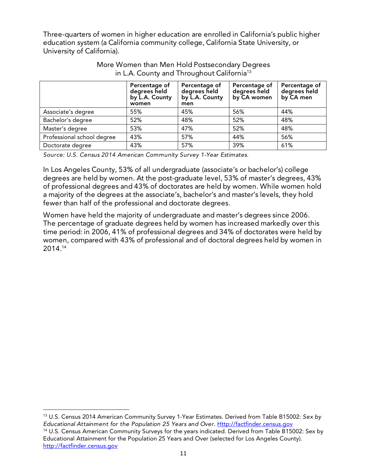Three-quarters of women in higher education are enrolled in California's public higher education system (a California community college, California State University, or University of California).

|                            | Percentage of<br>degrees held<br>by L.A. County<br>women | Percentage of<br>degrees held<br>by L.A. County<br>men | Percentage of<br>degrees held<br>by CA women | Percentage of<br>degrees held<br>by CA men |
|----------------------------|----------------------------------------------------------|--------------------------------------------------------|----------------------------------------------|--------------------------------------------|
| Associate's degree         | 55%                                                      | 45%                                                    | 56%                                          | 44%                                        |
| Bachelor's degree          | 52%                                                      | 48%                                                    | 52%                                          | 48%                                        |
| Master's degree            | 53%                                                      | 47%                                                    | 52%                                          | 48%                                        |
| Professional school degree | 43%                                                      | 57%                                                    | 44%                                          | 56%                                        |
| Doctorate degree           | 43%                                                      | 57%                                                    | 39%                                          | 61%                                        |

#### More Women than Men Hold Postsecondary Degrees in L.A. County and Throughout California<sup>13</sup>

*Source: U.S. Census 2014 American Community Survey 1-Year Estimates.*

In Los Angeles County, 53% of all undergraduate (associate's or bachelor's) college degrees are held by women. At the post-graduate level, 53% of master's degrees, 43% of professional degrees and 43% of doctorates are held by women. While women hold a majority of the degrees at the associate's, bachelor's and master's levels, they hold fewer than half of the professional and doctorate degrees.

Women have held the majority of undergraduate and master's degrees since 2006. The percentage of graduate degrees held by women has increased markedly over this time period: in 2006, 41% of professional degrees and 34% of doctorates were held by women, compared with 43% of professional and of doctoral degrees held by women in 2014. 14

13 U.S. Census 2014 American Community Survey 1-Year Estimates. Derived from Table B15002: *Sex by Educational Attainment for the Population 25 Years and Over*. Http://factfinder.census.gov

 

<sup>14</sup> U.S. Census American Community Surveys for the years indicated. Derived from Table B15002: Sex by Educational Attainment for the Population 25 Years and Over (selected for Los Angeles County). http://factfinder.census.gov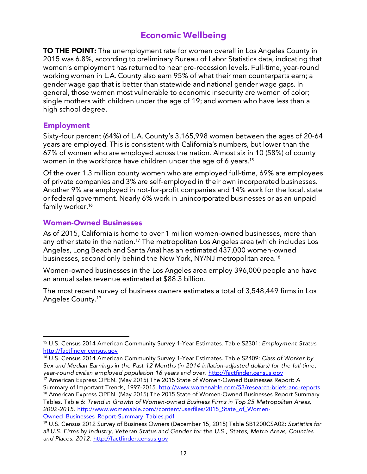# Economic Wellbeing

**TO THE POINT:** The unemployment rate for women overall in Los Angeles County in 2015 was 6.8%, according to preliminary Bureau of Labor Statistics data, indicating that women's employment has returned to near pre-recession levels. Full-time, year-round working women in L.A. County also earn 95% of what their men counterparts earn; a gender wage gap that is better than statewide and national gender wage gaps. In general, those women most vulnerable to economic insecurity are women of color; single mothers with children under the age of 19; and women who have less than a high school degree.

## Employment

Sixty-four percent (64%) of L.A. County's 3,165,998 women between the ages of 20-64 years are employed. This is consistent with California's numbers, but lower than the 67% of women who are employed across the nation. Almost six in 10 (58%) of county women in the workforce have children under the age of 6 years. 15

Of the over 1.3 million county women who are employed full-time, 69% are employees of private companies and 3% are self-employed in their own incorporated businesses. Another 9% are employed in not-for-profit companies and 14% work for the local, state or federal government. Nearly 6% work in unincorporated businesses or as an unpaid family worker. 16

## Women-Owned Businesses

 

As of 2015, California is home to over 1 million women-owned businesses, more than any other state in the nation.<sup>17</sup> The metropolitan Los Angeles area (which includes Los Angeles, Long Beach and Santa Ana) has an estimated 437,000 women-owned businesses, second only behind the New York, NY/NJ metropolitan area. 18

Women-owned businesses in the Los Angeles area employ 396,000 people and have an annual sales revenue estimated at \$88.3 billion.

The most recent survey of business owners estimates a total of 3,548,449 firms in Los Angeles County. 19

Owned Businesses Report-Summary Tables.pdf

<sup>15</sup> U.S. Census 2014 American Community Survey 1-Year Estimates. Table S2301: *Employment Status*. http://factfinder.census.gov

<sup>16</sup> U.S. Census 2014 American Community Survey 1-Year Estimates. Table S2409: *Class of Worker by Sex and Median Earnings in the Past 12 Months (in 2014 inflation-adjusted dollars) for the full-time, year-round civilian employed population 16 years and over.* http://factfinder.census.gov

<sup>&</sup>lt;sup>17</sup> American Express OPEN. (May 2015) The 2015 State of Women-Owned Businesses Report: A Summary of Important Trends, 1997-2015. http://www.womenable.com/53/research-briefs-and-reports  $18$  American Express OPEN. (May 2015) The 2015 State of Women-Owned Businesses Report Summary Tables. Table 6: *Trend in Growth of Women-owned Business Firms in Top 25 Metropolitan Areas, 2002-2015.* http://www.womenable.com//content/userfiles/2015\_State\_of\_Women-

<sup>19</sup> U.S. Census 2012 Survey of Business Owners (December 15, 2015) Table SB1200CSA02: *Statistics for all U.S. Firms by Industry, Veteran Status and Gender for the U.S., States, Metro Areas, Counties and Places: 2012.* http://factfinder.census.gov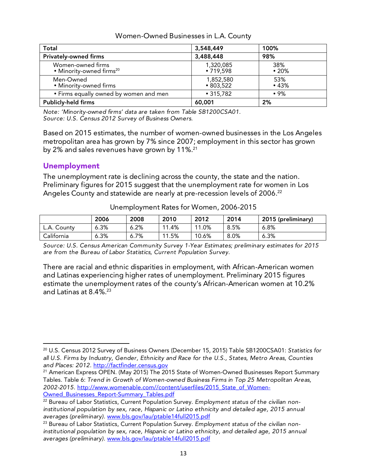| <b>Total</b>                                              | 3,548,449                    | 100%               |
|-----------------------------------------------------------|------------------------------|--------------------|
| <b>Privately-owned firms</b>                              | 3,488,448                    | 98%                |
| Women-owned firms<br>• Minority-owned firms <sup>20</sup> | 1,320,085<br>•719,598        | 38%<br>$\cdot$ 20% |
| Men-Owned<br>• Minority-owned firms                       | 1,852,580<br>$\cdot$ 803,522 | 53%<br>•43%        |
| • Firms equally owned by women and men                    | $\cdot$ 315,782              | •9%                |
| <b>Publicly-held firms</b>                                | 60,001                       | 2%                 |

#### Women-Owned Businesses in L.A. County

*Note: 'Minority-owned firms' data are taken from Table SB1200CSA01. Source: U.S. Census 2012 Survey of Business Owners.* 

Based on 2015 estimates, the number of women-owned businesses in the Los Angeles metropolitan area has grown by 7% since 2007; employment in this sector has grown by 2% and sales revenues have grown by 11%. 21

# Unemployment

 

The unemployment rate is declining across the county, the state and the nation. Preliminary figures for 2015 suggest that the unemployment rate for women in Los Angeles County and statewide are nearly at pre-recession levels of 2006. 22

|             | 2006 | 2008 | 2010      | 2012  | 2014 | 2015 (preliminary) |
|-------------|------|------|-----------|-------|------|--------------------|
| L.A. County | 6.3% | 6.2% | .4%<br>44 | 11.0% | 8.5% | 6.8%               |
| California  | 6.3% | 6.7% | 11.5%     | 10.6% | 8.0% | 6.3%               |

Unemployment Rates for Women, 2006-2015

*Source: U.S. Census American Community Survey 1-Year Estimates; preliminary estimates for 2015 are from the Bureau of Labor Statistics, Current Population Survey.*

There are racial and ethnic disparities in employment, with African-American women and Latinas experiencing higher rates of unemployment. Preliminary 2015 figures estimate the unemployment rates of the county's African-American women at 10.2% and Latinas at 8.4%. 23

<sup>20</sup> U.S. Census 2012 Survey of Business Owners (December 15, 2015) Table SB1200CSA01: *Statistics for all U.S. Firms by Industry, Gender, Ethnicity and Race for the U.S., States, Metro Areas, Counties and Places: 2012.* http://factfinder.census.gov

<sup>&</sup>lt;sup>21</sup> American Express OPEN. (May 2015) The 2015 State of Women-Owned Businesses Report Summary Tables. Table 6: *Trend in Growth of Women-owned Business Firms in Top 25 Metropolitan Areas, 2002-2015.* http://www.womenable.com//content/userfiles/2015\_State\_of\_Women-Owned Businesses Report-Summary Tables.pdf

<sup>22</sup> Bureau of Labor Statistics, Current Population Survey. *Employment status of the civilian non*institutional population by sex, race, Hispanic or Latino ethnicity and detailed age, 2015 annual *averages (preliminary).* www.bls.gov/lau/ptable14full2015.pdf

<sup>23</sup> Bureau of Labor Statistics, Current Population Survey. *Employment status of the civilian non*institutional population by sex, race, Hispanic or Latino ethnicity, and detailed age, 2015 annual *averages (preliminary).* www.bls.gov/lau/ptable14full2015.pdf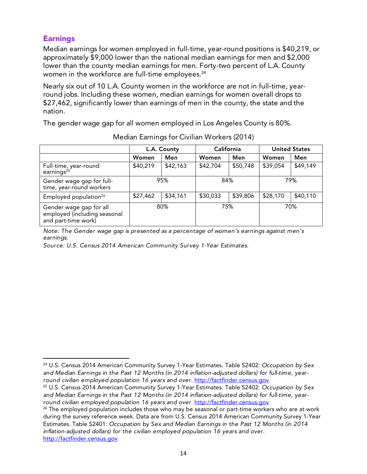# **Earnings**

Median earnings for women employed in full-time, year-round positions is \$40,219, or approximately \$9,000 lower than the national median earnings for men and \$2,000 lower than the county median earnings for men. Forty-two percent of L.A. County women in the workforce are full-time employees. 24

Nearly six out of 10 L.A. County women in the workforce are not in full-time, yearround jobs. Including these women, median earnings for women overall drops to \$27,462, significantly lower than earnings of men in the county, the state and the nation.

The gender wage gap for all women employed in Los Angeles County is 80%.

|                                                                                | L.A. County |          | California |          | <b>United States</b> |          |
|--------------------------------------------------------------------------------|-------------|----------|------------|----------|----------------------|----------|
|                                                                                | Women       | Men      | Women      | Men      | Women                | Men      |
| Full-time, year-round<br>earnings <sup>25</sup>                                | \$40,219    | \$42,163 | \$42,704   | \$50,748 | \$39,054             | \$49,149 |
| Gender wage gap for full-<br>time, year-round workers                          | 95%         |          | 84%        |          | 79%                  |          |
| Employed population <sup>26</sup>                                              | \$27,462    | \$34,161 | \$30,033   | \$39,806 | \$28,170             | \$40,110 |
| Gender wage gap for all<br>employed (including seasonal<br>and part-time work) |             | 80%      | 75%        |          |                      | 70%      |

Median Earnings for Civilian Workers (2014)

*Note: The Gender wage gap is presented as a percentage of women's earnings against men's earnings.*

*Source: U.S. Census 2014 American Community Survey 1-Year Estimates.* 

<u> 1989 - Jan Samuel Barbara, político establecido de la provincia de la provincia de la provincia de la provinci</u>

<sup>24</sup> U.S. Census 2014 American Community Survey 1-Year Estimates. Table S2402: *Occupation by Sex and Median Earnings in the Past 12 Months (in 2014 inflation-adjusted dollars) for full-time, yearround civilian employed population 16 years and over*. http://factfinder.census.gov

<sup>25</sup> U.S. Census 2014 American Community Survey 1-Year Estimates. Table S2402: *Occupation by Sex and Median Earnings in the Past 12 Months (in 2014 inflation-adjusted dollars) for full-time, yearround civilian employed population 16 years and over*. http://factfinder.census.gov

 $26$  The employed population includes those who may be seasonal or part-time workers who are at work during the survey reference week. Data are from U.S. Census 2014 American Community Survey 1-Year Estimates. Table S2401: *Occupation by Sex and Median Earnings in the Past 12 Months (in 2014 inflation-adjusted dollars) for the civilian employed population 16 years and over*. http://factfinder.census.gov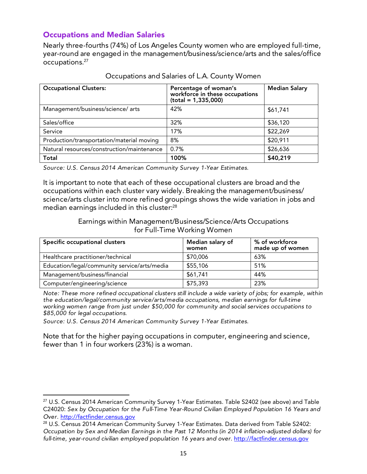# Occupations and Median Salaries

Nearly three-fourths (74%) of Los Angeles County women who are employed full-time, year-round are engaged in the management/business/science/arts and the sales/office occupations. 27

| <b>Occupational Clusters:</b>              | Percentage of woman's<br>workforce in these occupations<br>$(total = 1,335,000)$ | <b>Median Salary</b> |  |
|--------------------------------------------|----------------------------------------------------------------------------------|----------------------|--|
| Management/business/science/ arts          | 42%                                                                              | \$61,741             |  |
| Sales/office                               | 32%                                                                              | \$36,120             |  |
| Service                                    | 17%                                                                              | \$22,269             |  |
| Production/transportation/material moving  | 8%                                                                               | \$20,911             |  |
| Natural resources/construction/maintenance | 0.7%                                                                             | \$26,636             |  |
| Total                                      | 100%                                                                             | \$40,219             |  |

#### Occupations and Salaries of L.A. County Women

*Source: U.S. Census 2014 American Community Survey 1-Year Estimates.*

It is important to note that each of these occupational clusters are broad and the occupations within each cluster vary widely. Breaking the management/business/ science/arts cluster into more refined groupings shows the wide variation in jobs and median earnings included in this cluster: $^{\rm 28}$ 

#### Earnings within Management/Business/Science/Arts Occupations for Full-Time Working Women

| Specific occupational clusters               | Median salary of<br>women | % of workforce<br>made up of women |
|----------------------------------------------|---------------------------|------------------------------------|
| Healthcare practitioner/technical            | \$70,006                  | 63%                                |
| Education/legal/community service/arts/media | \$55,106                  | 51%                                |
| Management/business/financial                | \$61,741                  | 44%                                |
| Computer/engineering/science                 | \$75,393                  | 23%                                |

*Note: These more refined occupational clusters still include a wide variety of jobs; for example, within the education/legal/community service/arts/media occupations, median earnings for full-time working women range from just under \$50,000 for community and social services occupations to \$85,000 for legal occupations.*

*Source: U.S. Census 2014 American Community Survey 1-Year Estimates.*

 

Note that for the higher paying occupations in computer, engineering and science, fewer than 1 in four workers (23%) is a woman.

<sup>&</sup>lt;sup>27</sup> U.S. Census 2014 American Community Survey 1-Year Estimates. Table S2402 (see above) and Table C24020: *Sex by Occupation for the Full-Time Year-Round Civilian Employed Population 16 Years and Over.* http://factfinder.census.gov

<sup>&</sup>lt;sup>28</sup> U.S. Census 2014 American Community Survey 1-Year Estimates. Data derived from Table S2402: *Occupation by Sex and Median Earnings in the Past 12 Months (in 2014 inflation-adjusted dollars) for*  full-time, year-round civilian employed population 16 years and over. http://factfinder.census.gov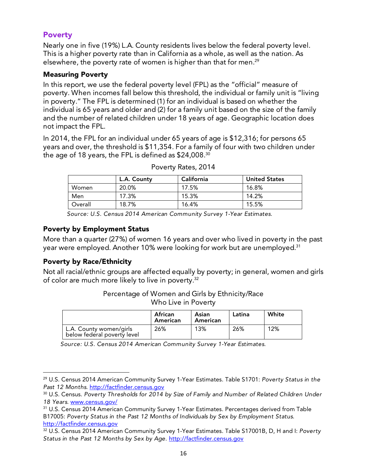# Poverty

Nearly one in five (19%) L.A. County residents lives below the federal poverty level. This is a higher poverty rate than in California as a whole, as well as the nation. As elsewhere, the poverty rate of women is higher than that for men. 29

#### Measuring Poverty

In this report, we use the federal poverty level (FPL) as the "official" measure of poverty. When incomes fall below this threshold, the individual or family unit is "living in poverty." The FPL is determined (1) for an individual is based on whether the individual is 65 years and older and (2) for a family unit based on the size of the family and the number of related children under 18 years of age. Geographic location does not impact the FPL.

In 2014, the FPL for an individual under 65 years of age is \$12,316; for persons 65 years and over, the threshold is \$11,354. For a family of four with two children under the age of 18 years, the FPL is defined as  $\$24{,}008.^{\scriptscriptstyle 30}$ 

|         | L.A. County | California | <b>United States</b> |
|---------|-------------|------------|----------------------|
| Women   | 20.0%       | 17.5%      | 16.8%                |
| Men     | 17.3%       | 15.3%      | 14.2%                |
| Overall | 18.7%       | 16.4%      | 15.5%                |

| Poverty Rates, 2014 |  |  |
|---------------------|--|--|
|---------------------|--|--|

*Source: U.S. Census 2014 American Community Survey 1-Year Estimates.*

#### Poverty by Employment Status

More than a quarter (27%) of women 16 years and over who lived in poverty in the past year were employed. Another 10% were looking for work but are unemployed. 31

#### Poverty by Race/Ethnicity

 

Not all racial/ethnic groups are affected equally by poverty; in general, women and girls of color are much more likely to live in poverty. 32

> Percentage of Women and Girls by Ethnicity/Race Who Live in Poverty

|                                                        | African<br>American | Asian<br>American | Latina | White |
|--------------------------------------------------------|---------------------|-------------------|--------|-------|
| L.A. County women/girls<br>below federal poverty level | 26%                 | 13%               | 26%    | 12%   |

*Source: U.S. Census 2014 American Community Survey 1-Year Estimates.*

<sup>29</sup> U.S. Census 2014 American Community Survey 1-Year Estimates. Table S1701: *Poverty Status in the Past 12 Months*. http://factfinder.census.gov

<sup>30</sup> U.S. Census. *Poverty Thresholds for 2014 by Size of Family and Number of Related Children Under 18 Years*. www.census.gov/

<sup>&</sup>lt;sup>31</sup> U.S. Census 2014 American Community Survey 1-Year Estimates. Percentages derived from Table B17005: *Poverty Status in the Past 12 Months of Individuals by Sex by Employment Status*. http://factfinder.census.gov

<sup>32</sup> U.S. Census 2014 American Community Survey 1-Year Estimates. Table S17001B, D, H and I: *Poverty*  Status in the Past 12 Months by Sex by Age. http://factfinder.census.gov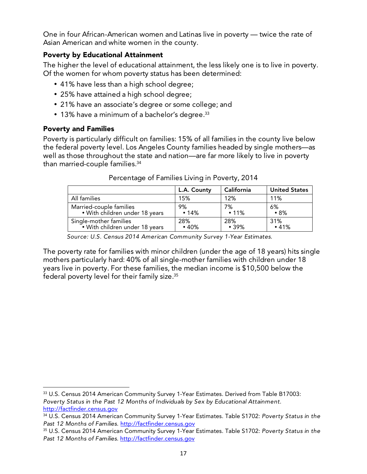One in four African-American women and Latinas live in poverty — twice the rate of Asian American and white women in the county.

## Poverty by Educational Attainment

The higher the level of educational attainment, the less likely one is to live in poverty. Of the women for whom poverty status has been determined:

- 41% have less than a high school degree;
- 25% have attained a high school degree;
- 21% have an associate's degree or some college; and
- $\bullet~$  13% have a minimum of a bachelor's degree. $^{33}$

## Poverty and Families

<u> 1989 - Jan Samuel Barbara, político establecido de la provincia de la provincia de la provincia de la provinci</u>

Poverty is particularly difficult on families: 15% of all families in the county live below the federal poverty level. Los Angeles County families headed by single mothers—as well as those throughout the state and nation—are far more likely to live in poverty than married-couple families. 34

|                                | L.A. County | California | <b>United States</b> |
|--------------------------------|-------------|------------|----------------------|
| All families                   | 15%         | 12%        | 11%                  |
| Married-couple families        | 9%          | 7%         | 6%                   |
| • With children under 18 years | •14%        | • 11%      | •8%                  |
| Single-mother families         | 28%         | 28%        | 31%                  |
| • With children under 18 years | •40%        | • 39%      | •41%                 |

Percentage of Families Living in Poverty, 2014

*Source: U.S. Census 2014 American Community Survey 1-Year Estimates.* 

The poverty rate for families with minor children (under the age of 18 years) hits single mothers particularly hard: 40% of all single-mother families with children under 18 years live in poverty. For these families, the median income is \$10,500 below the federal poverty level for their family size. 35

<sup>33</sup> U.S. Census 2014 American Community Survey 1-Year Estimates. Derived from Table B17003: *Poverty Status in the Past 12 Months of Individuals by Sex by Educational Attainment*. http://factfinder.census.gov

<sup>34</sup> U.S. Census 2014 American Community Survey 1-Year Estimates. Table S1702: *Poverty Status in the Past 12 Months of Families.* http://factfinder.census.gov

<sup>35</sup> U.S. Census 2014 American Community Survey 1-Year Estimates. Table S1702: *Poverty Status in the Past 12 Months of Families*. http://factfinder.census.gov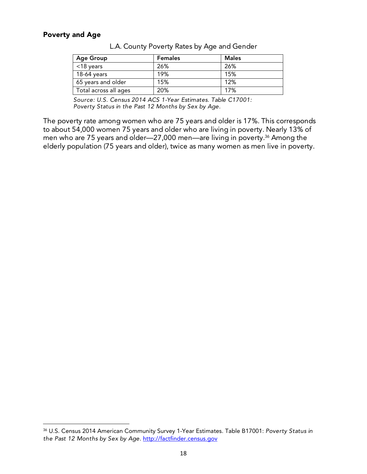#### Poverty and Age

 

| <b>Age Group</b>      | <b>Females</b> | <b>Males</b> |
|-----------------------|----------------|--------------|
| $<$ 18 years          | 26%            | 26%          |
| 18-64 years           | 19%            | 15%          |
| 65 years and older    | 15%            | 12%          |
| Total across all ages | 20%            | 17%          |

L.A. County Poverty Rates by Age and Gender

*Source: U.S. Census 2014 ACS 1-Year Estimates. Table C17001: Poverty Status in the Past 12 Months by Sex by Age.* 

The poverty rate among women who are 75 years and older is 17%. This corresponds to about 54,000 women 75 years and older who are living in poverty. Nearly 13% of men who are 75 years and older—27,000 men—are living in poverty. <sup>36</sup> Among the elderly population (75 years and older), twice as many women as men live in poverty.

<sup>36</sup> U.S. Census 2014 American Community Survey 1-Year Estimates. Table B17001: *Poverty Status in the Past 12 Months by Sex by Age*. http://factfinder.census.gov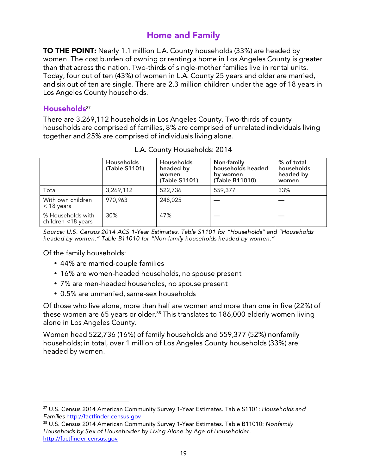# Home and Family

**TO THE POINT:** Nearly 1.1 million L.A. County households (33%) are headed by women. The cost burden of owning or renting a home in Los Angeles County is greater than that across the nation. Two-thirds of single-mother families live in rental units. Today, four out of ten (43%) of women in L.A. County 25 years and older are married, and six out of ten are single. There are 2.3 million children under the age of 18 years in Los Angeles County households.

## Households<sup>37</sup>

There are 3,269,112 households in Los Angeles County. Two-thirds of county households are comprised of families, 8% are comprised of unrelated individuals living together and 25% are comprised of individuals living alone.

|                                         | <b>Households</b><br>(Table S1101) | Households<br>headed by<br>women<br>(Table S1101) | Non-family<br>households headed<br>by women<br>(Table B11010) | % of total<br>households<br>headed by<br>women |
|-----------------------------------------|------------------------------------|---------------------------------------------------|---------------------------------------------------------------|------------------------------------------------|
| Total                                   | 3,269,112                          | 522,736                                           | 559,377                                                       | 33%                                            |
| With own children<br>$<$ 18 years       | 970,963                            | 248,025                                           |                                                               |                                                |
| % Households with<br>children <18 years | 30%                                | 47%                                               |                                                               |                                                |

L.A. County Households: 2014

*Source: U.S. Census 2014 ACS 1-Year Estimates. Table S1101 for "Households" and "Households headed by women." Table B11010 for "Non-family households headed by women."* 

Of the family households:

<u> 1989 - Jan Samuel Barbara, político establecido de la provincia de la provincia de la provincia de la provinci</u>

- 44% are married-couple families
- 16% are women-headed households, no spouse present
- 7% are men-headed households, no spouse present
- 0.5% are unmarried, same-sex households

Of those who live alone, more than half are women and more than one in five (22%) of these women are 65 years or older. <sup>38</sup> This translates to 186,000 elderly women living alone in Los Angeles County.

Women head 522,736 (16%) of family households and 559,377 (52%) nonfamily households; in total, over 1 million of Los Angeles County households (33%) are headed by women.

<sup>37</sup> U.S. Census 2014 American Community Survey 1-Year Estimates. Table S1101: *Households and Families* http://factfinder.census.gov

<sup>38</sup> U.S. Census 2014 American Community Survey 1-Year Estimates. Table B11010: *Nonfamily Households by Sex of Householder by Living Alone by Age of Householder*. http://factfinder.census.gov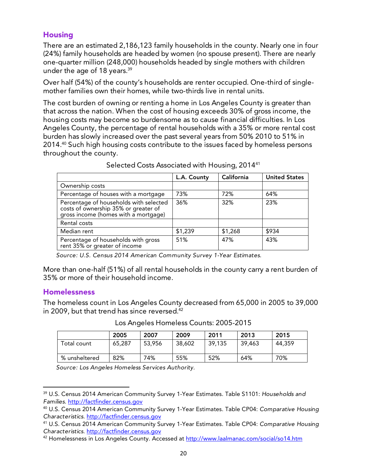## **Housing**

There are an estimated 2,186,123 family households in the county. Nearly one in four (24%) family households are headed by women (no spouse present). There are nearly one-quarter million (248,000) households headed by single mothers with children under the age of 18 years. 39

Over half (54%) of the county's households are renter occupied. One-third of singlemother families own their homes, while two-thirds live in rental units.

The cost burden of owning or renting a home in Los Angeles County is greater than that across the nation. When the cost of housing exceeds 30% of gross income, the housing costs may become so burdensome as to cause financial difficulties. In Los Angeles County, the percentage of rental households with a 35% or more rental cost burden has slowly increased over the past several years from 50% 2010 to 51% in 2014. <sup>40</sup> Such high housing costs contribute to the issues faced by homeless persons throughout the county.

|                                                                                                                        | L.A. County | California | <b>United States</b> |
|------------------------------------------------------------------------------------------------------------------------|-------------|------------|----------------------|
| Ownership costs                                                                                                        |             |            |                      |
| Percentage of houses with a mortgage                                                                                   | 73%         | 72%        | 64%                  |
| Percentage of households with selected<br>costs of ownership 35% or greater of<br>gross income (homes with a mortgage) | 36%         | 32%        | 23%                  |
| Rental costs                                                                                                           |             |            |                      |
| Median rent                                                                                                            | \$1,239     | \$1,268    | \$934                |
| Percentage of households with gross<br>rent 35% or greater of income                                                   | 51%         | 47%        | 43%                  |

Selected Costs Associated with Housing, 201441

*Source: U.S. Census 2014 American Community Survey 1-Year Estimates.*

More than one-half (51%) of all rental households in the county carry a rent burden of 35% or more of their household income.

#### Homelessness

<u> 1989 - Jan Samuel Barbara, político establecido de la provincia de la provincia de la provincia de la provinci</u>

The homeless count in Los Angeles County decreased from 65,000 in 2005 to 39,000 in 2009, but that trend has since reversed. 42

|               | 2005   | 2007   | 2009   | 2011   | 2013   | 2015   |
|---------------|--------|--------|--------|--------|--------|--------|
| Total count   | 65,287 | 53,956 | 38,602 | 39,135 | 39,463 | 44,359 |
| % unsheltered | 82%    | 74%    | 55%    | 52%    | 64%    | 70%    |

#### Los Angeles Homeless Counts: 2005-2015

*Source: Los Angeles Homeless Services Authority.* 

<sup>39</sup> U.S. Census 2014 American Community Survey 1-Year Estimates. Table S1101: *Households and Families*. http://factfinder.census.gov

<sup>40</sup> U.S. Census 2014 American Community Survey 1-Year Estimates. Table CP04: *Comparative Housing Characteristics*. http://factfinder.census.gov

<sup>41</sup> U.S. Census 2014 American Community Survey 1-Year Estimates. Table CP04: *Comparative Housing Characteristics*. http://factfinder.census.gov

<sup>42</sup> Homelessness in Los Angeles County. Accessed at http://www.laalmanac.com/social/so14.htm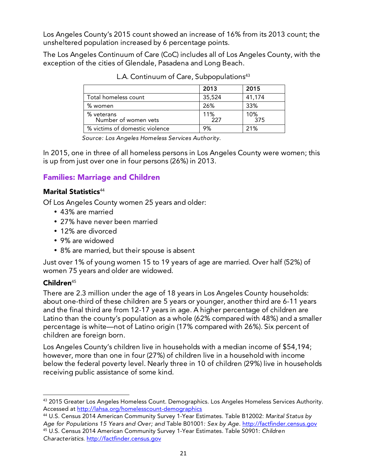Los Angeles County's 2015 count showed an increase of 16% from its 2013 count; the unsheltered population increased by 6 percentage points.

The Los Angeles Continuum of Care (CoC) includes all of Los Angeles County, with the exception of the cities of Glendale, Pasadena and Long Beach.

|                                    | 2013       | 2015        |
|------------------------------------|------------|-------------|
| Total homeless count               | 35,524     | 41,174      |
| % women                            | 26%        | 33%         |
| % veterans<br>Number of women vets | 11%<br>227 | 10%<br>-375 |
| % victims of domestic violence     | 9%         | 21%         |

L.A. Continuum of Care, Subpopulations<sup>43</sup>

*Source: Los Angeles Homeless Services Authority.*

In 2015, one in three of all homeless persons in Los Angeles County were women; this is up from just over one in four persons (26%) in 2013.

# Families: Marriage and Children

# Marital Statistics<sup>44</sup>

Of Los Angeles County women 25 years and older:

- 43% are married
- 27% have never been married
- 12% are divorced
- 9% are widowed
- 8% are married, but their spouse is absent

Just over 1% of young women 15 to 19 years of age are married. Over half (52%) of women 75 years and older are widowed.

# $Children<sup>45</sup>$

There are 2.3 million under the age of 18 years in Los Angeles County households: about one-third of these children are 5 years or younger, another third are 6-11 years and the final third are from 12-17 years in age. A higher percentage of children are Latino than the county's population as a whole (62% compared with 48%) and a smaller percentage is white—not of Latino origin (17% compared with 26%). Six percent of children are foreign born.

Los Angeles County's children live in households with a median income of \$54,194; however, more than one in four (27%) of children live in a household with income below the federal poverty level. Nearly three in 10 of children (29%) live in households receiving public assistance of some kind.

44 U.S. Census 2014 American Community Survey 1-Year Estimates. Table B12002: *Marital Status by Age for Populations 15 Years and Over; and* Table B01001*: Sex by Age.* http://factfinder.census.gov 45 U.S. Census 2014 American Community Survey 1-Year Estimates. Table S0901: *Children Characteristics*. http://factfinder.census.gov

<sup>&</sup>lt;u> 1989 - Jan Samuel Barbara, político establecido de la provincia de la provincia de la provincia de la provinci</u> 43 2015 Greater Los Angeles Homeless Count. Demographics. Los Angeles Homeless Services Authority. Accessed at http://lahsa.org/homelesscount-demographics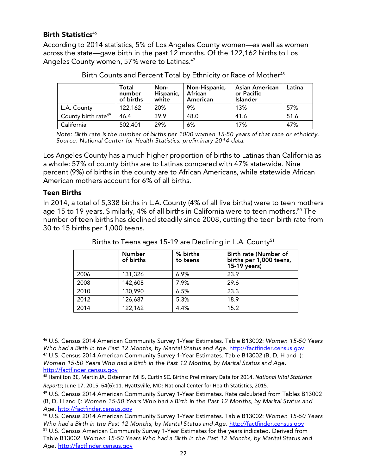#### Birth Statistics<sup>46</sup>

According to 2014 statistics, 5% of Los Angeles County women—as well as women across the state—gave birth in the past 12 months. Of the 122,162 births to Los Angeles County women, 57% were to Latinas. 47

|                                 | Total<br>number<br>of births | Non-<br>Hispanic,<br>white | Non-Hispanic,<br>African<br>American | <b>Asian American</b><br>or Pacific<br>Islander | Latina |
|---------------------------------|------------------------------|----------------------------|--------------------------------------|-------------------------------------------------|--------|
| L.A. County                     | 122,162                      | 20%                        | 9%                                   | 13%                                             | 57%    |
| County birth rate <sup>49</sup> | 46.4                         | 39.9                       | 48.0                                 | 41.6                                            | 51.6   |
| California                      | 502,401                      | 29%                        | 6%                                   | 17%                                             | 47%    |

| Birth Counts and Percent Total by Ethnicity or Race of Mother <sup>48</sup> |  |
|-----------------------------------------------------------------------------|--|
|-----------------------------------------------------------------------------|--|

*Note: Birth rate is the number of births per 1000 women 15-50 years of that race or ethnicity. Source: National Center for Health Statistics: preliminary 2014 data.* 

Los Angeles County has a much higher proportion of births to Latinas than California as a whole: 57% of county births are to Latinas compared with 47% statewide. Nine percent (9%) of births in the county are to African Americans, while statewide African American mothers account for 6% of all births.

#### Teen Births

 

In 2014, a total of 5,338 births in L.A. County (4% of all live births) were to teen mothers age 15 to 19 years. Similarly, 4% of all births in California were to teen mothers. <sup>50</sup> The number of teen births has declined steadily since 2008, cutting the teen birth rate from 30 to 15 births per 1,000 teens.

|      | <b>Number</b><br>of births | % births<br>to teens | Birth rate (Number of<br>births per 1,000 teens,<br>15-19 years) |
|------|----------------------------|----------------------|------------------------------------------------------------------|
| 2006 | 131,326                    | 6.9%                 | 23.9                                                             |
| 2008 | 142,608                    | 7.9%                 | 29.6                                                             |
| 2010 | 130,990                    | 6.5%                 | 23.3                                                             |
| 2012 | 126,687                    | 5.3%                 | 18.9                                                             |
| 2014 | 122,162                    | 4.4%                 | 15.2                                                             |

| Births to Teens ages 15-19 are Declining in L.A. County <sup>51</sup> |  |  |
|-----------------------------------------------------------------------|--|--|
|                                                                       |  |  |

*Women 15-50 Years Who had a Birth in the Past 12 Months, by Marital Status and Age.*  http://factfinder.census.gov

<sup>46</sup> U.S. Census 2014 American Community Survey 1-Year Estimates. Table B13002: *Women 15-50 Years Who had a Birth in the Past 12 Months, by Marital Status and Age. http://factfinder.census.gov* 47 U.S. Census 2014 American Community Survey 1-Year Estimates. Table B13002 (B, D, H and I):

<sup>&</sup>lt;sup>48</sup> Hamilton BE, Martin JA, Osterman MHS, Curtin SC. Births: Preliminary Data for 2014. National Vital Statistics *Reports*; June 17, 2015, 64(6):11. Hyattsville, MD: National Center for Health Statistics, 2015.

<sup>49</sup> U.S. Census 2014 American Community Survey 1-Year Estimates. Rate calculated from Tables B13002 (B, D, H and I): *Women 15-50 Years Who had a Birth in the Past 12 Months, by Marital Status and Age*. http://factfinder.census.gov

<sup>50</sup> U.S. Census 2014 American Community Survey 1-Year Estimates. Table B13002: *Women 15-50 Years Who had a Birth in the Past 12 Months, by Marital Status and Age. http://factfinder.census.gov* 

<sup>51</sup> U.S. Census American Community Survey 1-Year Estimates for the years indicated. Derived from Table B13002: *Women 15-50 Years Who had a Birth in the Past 12 Months, by Marital Status and Age.* http://factfinder.census.gov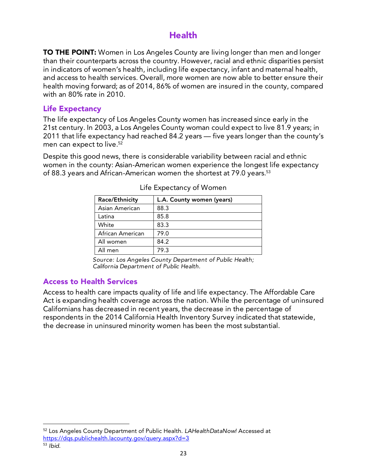# Health

**TO THE POINT:** Women in Los Angeles County are living longer than men and longer than their counterparts across the country. However, racial and ethnic disparities persist in indicators of women's health, including life expectancy, infant and maternal health, and access to health services. Overall, more women are now able to better ensure their health moving forward; as of 2014, 86% of women are insured in the county, compared with an 80% rate in 2010.

## Life Expectancy

The life expectancy of Los Angeles County women has increased since early in the 21st century. In 2003, a Los Angeles County woman could expect to live 81.9 years; in 2011 that life expectancy had reached 84.2 years — five years longer than the county's men can expect to live. $^{\rm 52}$ 

Despite this good news, there is considerable variability between racial and ethnic women in the county: Asian-American women experience the longest life expectancy of 88.3 years and African-American women the shortest at 79.0 years. 53

| Race/Ethnicity   | L.A. County women (years) |
|------------------|---------------------------|
| Asian American   | 88.3                      |
| Latina           | 85.8                      |
| White            | 83.3                      |
| African American | 79.0                      |
| All women        | 84.2                      |
| All men          | 79.3                      |

Life Expectancy of Women

*Source: Los Angeles County Department of Public Health; California Department of Public Health.*

# Access to Health Services

 

Access to health care impacts quality of life and life expectancy. The Affordable Care Act is expanding health coverage across the nation. While the percentage of uninsured Californians has decreased in recent years, the decrease in the percentage of respondents in the 2014 California Health Inventory Survey indicated that statewide, the decrease in uninsured minority women has been the most substantial.

<sup>52</sup> Los Angeles County Department of Public Health. *LAHealthDataNow!* Accessed at https://dqs.publichealth.lacounty.gov/query.aspx?d=3

<sup>53</sup> *Ibid.*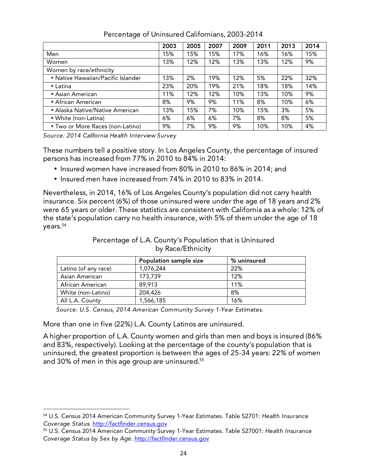|                                    | 2003 | 2005 | 2007 | 2009 | 2011 | 2013 | 2014 |
|------------------------------------|------|------|------|------|------|------|------|
| Men                                | 15%  | 15%  | 15%  | 17%  | 16%  | 16%  | 15%  |
| Women                              | 13%  | 12%  | 12%  | 13%  | 13%  | 12%  | 9%   |
| Women by race/ethnicity            |      |      |      |      |      |      |      |
| • Native Hawaiian/Pacific Islander | 13%  | 2%   | 19%  | 12%  | 5%   | 22%  | 32%  |
| $\bullet$ Latina                   | 23%  | 20%  | 19%  | 21%  | 18%  | 18%  | 14%  |
| • Asian American                   | 11%  | 12%  | 12%  | 10%  | 13%  | 10%  | 9%   |
| • African American                 | 8%   | 9%   | 9%   | 11%  | 8%   | 10%  | 6%   |
| • Alaska Native/Native American    | 13%  | 15%  | 7%   | 10%  | 15%  | 3%   | 5%   |
| • White (non-Latina)               | 6%   | 6%   | 6%   | 7%   | 8%   | 8%   | 5%   |
| • Two or More Races (non-Latino)   | 9%   | 7%   | 9%   | 9%   | 10%  | 10%  | 4%   |

Percentage of Uninsured Californians, 2003-2014

*Source: 2014 California Health Interview Survey*

These numbers tell a positive story. In Los Angeles County, the percentage of insured persons has increased from 77% in 2010 to 84% in 2014:

- Insured women have increased from 80% in 2010 to 86% in 2014; and
- Insured men have increased from 74% in 2010 to 83% in 2014.

Nevertheless, in 2014, 16% of Los Angeles County's population did not carry health insurance. Six percent (6%) of those uninsured were under the age of 18 years and 2% were 65 years or older. These statistics are consistent with California as a whole: 12% of the state's population carry no health insurance, with 5% of them under the age of 18 years. 54

#### Percentage of L.A. County's Population that is Uninsured by Race/Ethnicity

|                      | <b>Population sample size</b> | % uninsured |
|----------------------|-------------------------------|-------------|
| Latino (of any race) | 1,076,244                     | 22%         |
| Asian American       | 173,739                       | 12%         |
| African American     | 89,913                        | 11%         |
| White (non-Latino)   | 204,426                       | 8%          |
| All L.A. County      | 1,566,185                     | 16%         |

*Source: U.S. Census, 2014 American Community Survey 1-Year Estimates.* 

More than one in five (22%) L.A. County Latinos are uninsured.

<u> 1989 - Jan Samuel Barbara, político establecido de la provincia de la provincia de la provincia de la provinci</u>

A higher proportion of L.A. County women and girls than men and boys is insured (86% and 83%, respectively). Looking at the percentage of the county's population that is uninsured, the greatest proportion is between the ages of 25-34 years: 22% of women and 30% of men in this age group are uninsured. 55

<sup>54</sup> U.S. Census 2014 American Community Survey 1-Year Estimates. Table S2701: *Health Insurance Coverage Status*. http://factfinder.census.gov

<sup>55</sup> U.S. Census 2014 American Community Survey 1-Year Estimates. Table S27001: *Health Insurance Coverage Status by Sex by Age*. http://factfinder.census.gov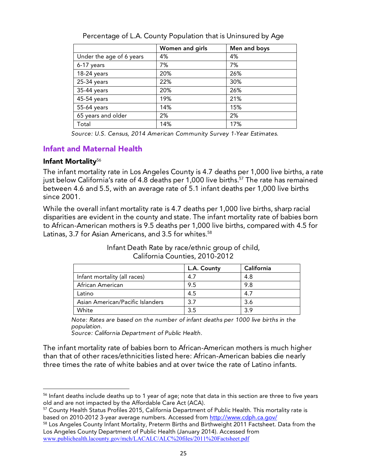|                          | Women and girls | Men and boys |
|--------------------------|-----------------|--------------|
| Under the age of 6 years | 4%              | 4%           |
| 6-17 years               | 7%              | 7%           |
| 18-24 years              | 20%             | 26%          |
| 25-34 years              | 22%             | 30%          |
| 35-44 years              | 20%             | 26%          |
| 45-54 years              | 19%             | 21%          |
| 55-64 years              | 14%             | 15%          |
| 65 years and older       | 2%              | 2%           |
| Total                    | 14%             | 17%          |

Percentage of L.A. County Population that is Uninsured by Age

*Source: U.S. Census, 2014 American Community Survey 1-Year Estimates.* 

## Infant and Maternal Health

<u> 1989 - Jan Samuel Barbara, político establecido de la provincia de la provincia de la provincia de la provinci</u>

#### Infant Mortality<sup>56</sup>

The infant mortality rate in Los Angeles County is 4.7 deaths per 1,000 live births, a rate just below California's rate of 4.8 deaths per 1,000 live births. <sup>57</sup> The rate has remained between 4.6 and 5.5, with an average rate of 5.1 infant deaths per 1,000 live births since 2001.

While the overall infant mortality rate is 4.7 deaths per 1,000 live births, sharp racial disparities are evident in the county and state. The infant mortality rate of babies born to African-American mothers is 9.5 deaths per 1,000 live births, compared with 4.5 for Latinas, 3.7 for Asian Americans, and 3.5 for whites. 58

|                                  | L.A. County | California |
|----------------------------------|-------------|------------|
| Infant mortality (all races)     | 4.7         | 4.8        |
| African American                 | 9.5         | 9.8        |
| Latino                           | 4.5         | 4.7        |
| Asian American/Pacific Islanders | 3.7         | 3.6        |
| White                            | 3.5         | 3.9        |

Infant Death Rate by race/ethnic group of child, California Counties, 2010-2012

*Note: Rates are based on the number of infant deaths per 1000 live births in the population.*

*Source: California Department of Public Health.*

The infant mortality rate of babies born to African-American mothers is much higher than that of other races/ethnicities listed here: African-American babies die nearly three times the rate of white babies and at over twice the rate of Latino infants.

<sup>&</sup>lt;sup>56</sup> Infant deaths include deaths up to 1 year of age; note that data in this section are three to five years old and are not impacted by the Affordable Care Act (ACA).

<sup>57</sup> County Health Status Profiles 2015, California Department of Public Health. This mortality rate is based on 2010-2012 3-year average numbers. Accessed from http://www.cdph.ca.gov/

<sup>58</sup> Los Angeles County Infant Mortality, Preterm Births and Birthweight 2011 Factsheet. Data from the Los Angeles County Department of Public Health (January 2014). Accessed from www.publichealth.lacounty.gov/mch/LACALC/ALC%20files/2011%20Factsheet.pdf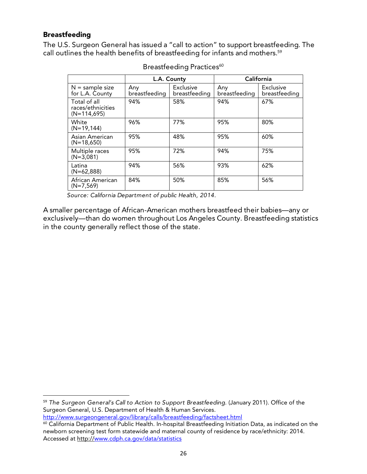## Breastfeeding

The U.S. Surgeon General has issued a "call to action" to support breastfeeding. The call outlines the health benefits of breastfeeding for infants and mothers. 59

|                                                    |                      | L.A. County                |                      | California                 |
|----------------------------------------------------|----------------------|----------------------------|----------------------|----------------------------|
| $N =$ sample size<br>for L.A. County               | Any<br>breastfeeding | Exclusive<br>breastfeeding | Any<br>breastfeeding | Exclusive<br>breastfeeding |
| Total of all<br>races/ethnicities<br>$(N=114,695)$ | 94%                  | 58%                        | 94%                  | 67%                        |
| White<br>$(N=19, 144)$                             | 96%                  | 77%                        | 95%                  | 80%                        |
| Asian American<br>$(N=18,650)$                     | 95%                  | 48%                        | 95%                  | 60%                        |
| Multiple races<br>$(N=3,081)$                      | 95%                  | 72%                        | 94%                  | 75%                        |
| Latina<br>$(N=62,888)$                             | 94%                  | 56%                        | 93%                  | 62%                        |
| African American<br>$(N=7,569)$                    | 84%                  | 50%                        | 85%                  | 56%                        |

Breastfeeding Practices<sup>60</sup>

*Source: California Department of public Health, 2014.*

A smaller percentage of African-American mothers breastfeed their babies—any or exclusively—than do women throughout Los Angeles County. Breastfeeding statistics in the county generally reflect those of the state.

<sup>59</sup> *The Surgeon General's Call to Action to Support Breastfeeding.* (January 2011). Office of the Surgeon General, U.S. Department of Health & Human Services. http://www.surgeongeneral.gov/library/calls/breastfeeding/factsheet.html

 

<sup>&</sup>lt;sup>60</sup> California Department of Public Health. In-hospital Breastfeeding Initiation Data, as indicated on the newborn screening test form statewide and maternal county of residence by race/ethnicity: 2014. Accessed at http://www.cdph.ca.gov/data/statistics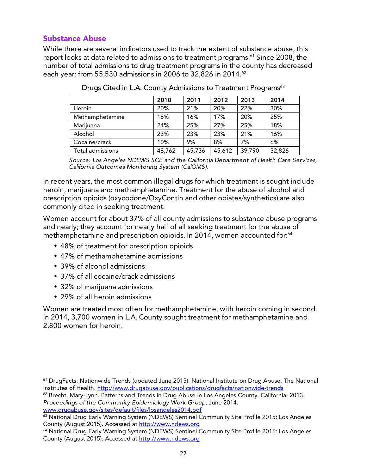# Substance Abuse

While there are several indicators used to track the extent of substance abuse, this report looks at data related to admissions to treatment programs. <sup>61</sup> Since 2008, the number of total admissions to drug treatment programs in the county has decreased each year: from 55,530 admissions in 2006 to 32,826 in 2014. 62

|                  | 2010   | 2011   | 2012   | 2013   | 2014   |
|------------------|--------|--------|--------|--------|--------|
| Heroin           | 20%    | 21%    | 20%    | 22%    | 30%    |
| Methamphetamine  | 16%    | 16%    | 17%    | 20%    | 25%    |
| Marijuana        | 24%    | 25%    | 27%    | 25%    | 18%    |
| Alcohol          | 23%    | 23%    | 23%    | 21%    | 16%    |
| Cocaine/crack    | 10%    | 9%     | 8%     | 7%     | 6%     |
| Total admissions | 48,762 | 45,736 | 45,612 | 39,790 | 32,826 |

Drugs Cited in L.A. County Admissions to Treatment Programs<sup>63</sup>

*Source: Los Angeles NDEWS SCE and the California Department of Health Care Services, California Outcomes Monitoring System (CalOMS).* 

In recent years, the most common illegal drugs for which treatment is sought include heroin, marijuana and methamphetamine. Treatment for the abuse of alcohol and prescription opioids (oxycodone/OxyContin and other opiates/synthetics) are also commonly cited in seeking treatment.

Women account for about 37% of all county admissions to substance abuse programs and nearly; they account for nearly half of all seeking treatment for the abuse of methamphetamine and prescription opioids. In 2014, women accounted for: 64

- 48% of treatment for prescription opioids
- 47% of methamphetamine admissions
- 39% of alcohol admissions
- 37% of all cocaine/crack admissions
- 32% of marijuana admissions
- 29% of all heroin admissions

 

Women are treated most often for methamphetamine, with heroin coming in second. In 2014, 3,700 women in L.A. County sought treatment for methamphetamine and 2,800 women for heroin.

<sup>&</sup>lt;sup>61</sup> DrugFacts: Nationwide Trends (updated June 2015). National Institute on Drug Abuse, The National Institutes of Health. http://www.drugabuse.gov/publications/drugfacts/nationwide-trends

<sup>&</sup>lt;sup>62</sup> Brecht, Mary-Lynn. Patterns and Trends in Drug Abuse in Los Angeles County, California: 2013. *Proceedings of the Community Epidemiology Work Group*, June 2014. www.drugabuse.gov/sites/default/files/losangeles2014.pdf

<sup>&</sup>lt;sup>63</sup> National Drug Early Warning System (NDEWS) Sentinel Community Site Profile 2015: Los Angeles County (August 2015). Accessed at http://www.ndews.org

<sup>64</sup> National Drug Early Warning System (NDEWS) Sentinel Community Site Profile 2015: Los Angeles County (August 2015). Accessed at http://www.ndews.org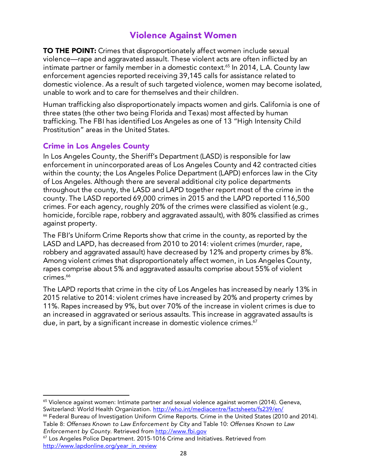# Violence Against Women

**TO THE POINT:** Crimes that disproportionately affect women include sexual violence—rape and aggravated assault. These violent acts are often inflicted by an intimate partner or family member in a domestic context. <sup>65</sup> In 2014, L.A. County law enforcement agencies reported receiving 39,145 calls for assistance related to domestic violence. As a result of such targeted violence, women may become isolated, unable to work and to care for themselves and their children.

Human trafficking also disproportionately impacts women and girls. California is one of three states (the other two being Florida and Texas) most affected by human trafficking. The FBI has identified Los Angeles as one of 13 "High Intensity Child Prostitution" areas in the United States.

# Crime in Los Angeles County

 

In Los Angeles County, the Sheriff's Department (LASD) is responsible for law enforcement in unincorporated areas of Los Angeles County and 42 contracted cities within the county; the Los Angeles Police Department (LAPD) enforces law in the City of Los Angeles. Although there are several additional city police departments throughout the county, the LASD and LAPD together report most of the crime in the county. The LASD reported 69,000 crimes in 2015 and the LAPD reported 116,500 crimes. For each agency, roughly 20% of the crimes were classified as violent (e.g., homicide, forcible rape, robbery and aggravated assault), with 80% classified as crimes against property.

The FBI's Uniform Crime Reports show that crime in the county, as reported by the LASD and LAPD, has decreased from 2010 to 2014: violent crimes (murder, rape, robbery and aggravated assault) have decreased by 12% and property crimes by 8%. Among violent crimes that disproportionately affect women, in Los Angeles County, rapes comprise about 5% and aggravated assaults comprise about 55% of violent crimes. 66

The LAPD reports that crime in the city of Los Angeles has increased by nearly 13% in 2015 relative to 2014: violent crimes have increased by 20% and property crimes by 11%. Rapes increased by 9%, but over 70% of the increase in violent crimes is due to an increased in aggravated or serious assaults. This increase in aggravated assaults is due, in part, by a significant increase in domestic violence crimes. 67

<sup>&</sup>lt;sup>65</sup> Violence against women: Intimate partner and sexual violence against women (2014). Geneva, Switzerland: World Health Organization. http://who.int/mediacentre/factsheets/fs239/en/

<sup>66</sup> Federal Bureau of Investigation Uniform Crime Reports. Crime in the United States (2010 and 2014). Table 8: *Offenses Known to Law Enforcement by City* and Table 10: *Offenses Known to Law Enforcement by County*. Retrieved from http://www.fbi.gov

<sup>&</sup>lt;sup>67</sup> Los Angeles Police Department. 2015-1016 Crime and Initiatives. Retrieved from http://www.lapdonline.org/year\_in\_review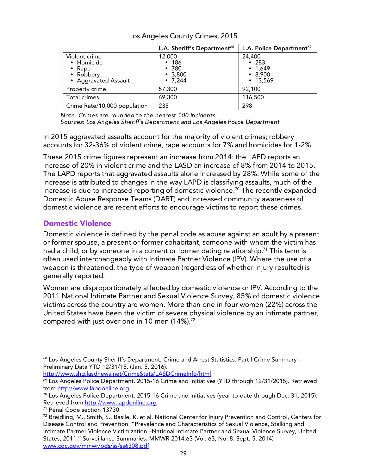|                                                                            | L.A. Sheriff's Department <sup>68</sup>                   | L.A. Police Department <sup>69</sup>                                      |
|----------------------------------------------------------------------------|-----------------------------------------------------------|---------------------------------------------------------------------------|
| Violent crime<br>• Homicide<br>• Rape<br>• Robbery<br>• Aggravated Assault | 12,000<br>• 186<br>•780<br>$\cdot$ 3,800<br>$\cdot$ 7,244 | 24,400<br>$\cdot$ 283<br>$\cdot$ 1,649<br>$\cdot$ 8,900<br>$\cdot$ 13,569 |
| Property crime                                                             | 57,300                                                    | 92,100                                                                    |
| Total crimes                                                               | 69,300                                                    | 116,500                                                                   |
| Crime Rate/10,000 population                                               | 235                                                       | 298                                                                       |

Los Angeles County Crimes, 2015

*Note: Crimes are rounded to the nearest 100 incidents.*

*Sources: Los Angeles Sheriff's Department and Los Angeles Police Department*

In 2015 aggravated assaults account for the majority of violent crimes; robbery accounts for 32-36% of violent crime, rape accounts for 7% and homicides for 1-2%.

These 2015 crime figures represent an increase from 2014: the LAPD reports an increase of 20% in violent crime and the LASD an increase of 8% from 2014 to 2015. The LAPD reports that aggravated assaults alone increased by 28%. While some of the increase is attributed to changes in the way LAPD is classifying assaults, much of the increase is due to increased reporting of domestic violence. <sup>70</sup> The recently expanded Domestic Abuse Response Teams (DART) and increased community awareness of domestic violence are recent efforts to encourage victims to report these crimes.

## Domestic Violence

Domestic violence is defined by the penal code as abuse against an adult by a present or former spouse, a present or former cohabitant, someone with whom the victim has had a child, or by someone in a current or former dating relationship.<sup>71</sup> This term is often used interchangeably with Intimate Partner Violence (IPV). Where the use of a weapon is threatened, the type of weapon (regardless of whether injury resulted) is generally reported.

Women are disproportionately affected by domestic violence or IPV. According to the 2011 National Intimate Partner and Sexual Violence Survey, 85% of domestic violence victims across the country are women. More than one in four women (22%) across the United States have been the victim of severe physical violence by an intimate partner, compared with just over one in 10 men (14%). $^{72}$ 

http://www.shq.lasdnews.net/CrimeStats/LASDCrimeInfo/html

<u> 1989 - Jan Samuel Barbara, político establecido de la provincia de la provincia de la provincia de la provinci</u>

<sup>&</sup>lt;sup>68</sup> Los Angeles County Sheriff's Department, Crime and Arrest Statistics. Part I Crime Summary -Preliminary Data YTD 12/31/15. (Jan. 5, 2016).

<sup>&</sup>lt;sup>69</sup> Los Angeles Police Department. 2015-16 Crime and Initiatives (YTD through 12/31/2015). Retrieved from http://www.lapdonline.org

 $70$  Los Angeles Police Department. 2015-16 Crime and Initiatives (year-to-date through Dec. 31, 2015). Retrieved from http://www.lapdonline.org

<sup>71</sup> Penal Code section 13730.

<sup>&</sup>lt;sup>72</sup> Breidling, M., Smith, S., Basile, K. et al. National Center for Injury Prevention and Control, Centers for Disease Control and Prevention. "Prevalence and Characteristics of Sexual Violence, Stalking and Intimate Partner Violence Victimization –National Intimate Partner and Sexual Violence Survey, United States, 2011." Surveillance Summaries: MMWR 2014:63 (Vol. 63, No. 8: Sept. 5, 2014) www.cdc.gov/mmwr/pds/ss/ss6308.pdf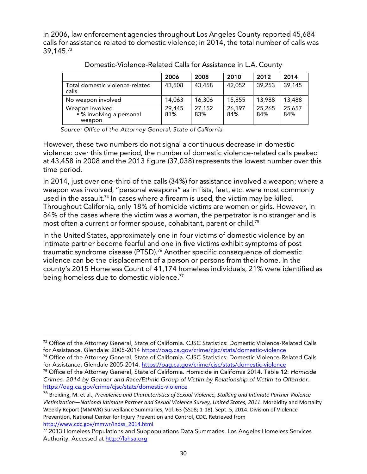In 2006, law enforcement agencies throughout Los Angeles County reported 45,684 calls for assistance related to domestic violence; in 2014, the total number of calls was 39,145. 73

|                                                       | 2006          | 2008          | 2010          | 2012          | 2014          |
|-------------------------------------------------------|---------------|---------------|---------------|---------------|---------------|
| Total domestic violence-related<br>calls              | 43,508        | 43,458        | 42,052        | 39,253        | 39,145        |
| No weapon involved                                    | 14,063        | 16,306        | 15,855        | 13,988        | 13,488        |
| Weapon involved<br>• % involving a personal<br>weapon | 29,445<br>81% | 27,152<br>83% | 26,197<br>84% | 25,265<br>84% | 25,657<br>84% |

Domestic-Violence-Related Calls for Assistance in L.A. County

*Source: Office of the Attorney General, State of California.*

However, these two numbers do not signal a continuous decrease in domestic violence: over this time period, the number of domestic violence-related calls peaked at 43,458 in 2008 and the 2013 figure (37,038) represents the lowest number over this time period.

In 2014, just over one-third of the calls (34%) for assistance involved a weapon; where a weapon was involved, "personal weapons" as in fists, feet, etc. were most commonly used in the assault. <sup>74</sup> In cases where a firearm is used, the victim may be killed. Throughout California, only 18% of homicide victims are women or girls. However, in 84% of the cases where the victim was a woman, the perpetrator is no stranger and is most often a current or former spouse, cohabitant, parent or child. $^{75}$ 

In the United States, approximately one in four victims of domestic violence by an intimate partner become fearful and one in five victims exhibit symptoms of post traumatic syndrome disease (PTSD). 76 Another specific consequence of domestic violence can be the displacement of a person or persons from their home. In the county's 2015 Homeless Count of 41,174 homeless individuals, 21% were identified as being homeless due to domestic violence. 77

<sup>&</sup>lt;u> 1989 - Jan Samuel Barbara, político establecido de la provincia de la provincia de la provincia de la provinci</u> <sup>73</sup> Office of the Attorney General, State of California. CJSC Statistics: Domestic Violence-Related Calls for Assistance. Glendale: 2005-2014 https://oag.ca.gov/crime/cjsc/stats/domestic-violence

<sup>74</sup> Office of the Attorney General, State of California. CJSC Statistics: Domestic Violence-Related Calls for Assistance, Glendale 2005-2014. https://oag.ca.gov/crime/cjsc/stats/domestic-violence 75 Office of the Attorney General, State of California. Homicide in California 2014. Table 12: *Homicide Crimes, 2014 by Gender and Race/Ethnic Group of Victim by Relationship of Victim to Offender*. https://oag.ca.gov/crime/cjsc/stats/domestic-violence

<sup>&</sup>lt;sup>76</sup> Breiding, M. et al., Prevalence and Characteristics of Sexual Violence, Stalking and Intimate Partner Violence Victimization—National Intimate Partner and Sexual Violence Survey, United States, 2011. Morbidity and Mortality Weekly Report (MMWR) Surveillance Summaries, Vol. 63 (SS08; 1-18). Sept. 5, 2014. Division of Violence Prevention, National Center for Injury Prevention and Control, CDC. Retrieved from http://www.cdc.gov/mmwr/indss\_2014.html

<sup>77 2013</sup> Homeless Populations and Subpopulations Data Summaries. Los Angeles Homeless Services Authority. Accessed at http://lahsa.org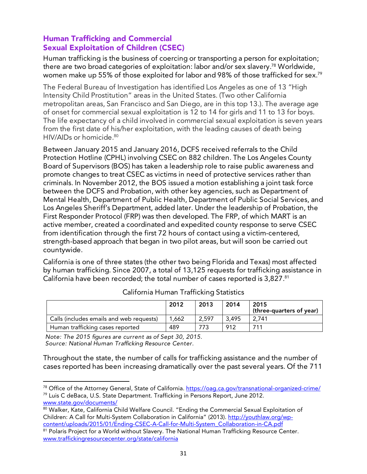# Human Trafficking and Commercial Sexual Exploitation of Children (CSEC)

Human trafficking is the business of coercing or transporting a person for exploitation; there are two broad categories of exploitation: labor and/or sex slavery. <sup>78</sup> Worldwide, women make up 55% of those exploited for labor and 98% of those trafficked for sex. 79

The Federal Bureau of Investigation has identified Los Angeles as one of 13 "High Intensity Child Prostitution" areas in the United States. (Two other California metropolitan areas, San Francisco and San Diego, are in this top 13.). The average age of onset for commercial sexual exploitation is 12 to 14 for girls and 11 to 13 for boys. The life expectancy of a child involved in commercial sexual exploitation is seven years from the first date of his/her exploitation, with the leading causes of death being HIV/AIDs or homicide. 80

Between January 2015 and January 2016, DCFS received referrals to the Child Protection Hotline (CPHL) involving CSEC on 882 children. The Los Angeles County Board of Supervisors (BOS) has taken a leadership role to raise public awareness and promote changes to treat CSEC as victims in need of protective services rather than criminals. In November 2012, the BOS issued a motion establishing a joint task force between the DCFS and Probation, with other key agencies, such as Department of Mental Health, Department of Public Health, Department of Public Social Services, and Los Angeles Sheriff's Department, added later. Under the leadership of Probation, the First Responder Protocol (FRP) was then developed. The FRP, of which MART is an active member, created a coordinated and expedited county response to serve CSEC from identification through the first 72 hours of contact using a victim-centered, strength-based approach that began in two pilot areas, but will soon be carried out countywide.

California is one of three states (the other two being Florida and Texas) most affected by human trafficking. Since 2007, a total of 13,125 requests for trafficking assistance in California have been recorded; the total number of cases reported is 3,827. 81

|                                          | 2012  | 2013  | 2014  | 2015<br>(three-quarters of year) |
|------------------------------------------|-------|-------|-------|----------------------------------|
| Calls (includes emails and web requests) | 1.662 | 2.597 | 3.495 | 2.741                            |
| Human trafficking cases reported         | 489   | 773   | -912  | 711                              |

California Human Trafficking Statistics

*Note: The 2015 figures are current as of Sept 30, 2015. Source: National Human Trafficking Resource Center.* 

<u> 1989 - Jan Samuel Barbara, político establecido de la provincia de la provincia de la provincia de la provinci</u>

Throughout the state, the number of calls for trafficking assistance and the number of cases reported has been increasing dramatically over the past several years. Of the 711

<sup>&</sup>lt;sup>78</sup> Office of the Attorney General, State of California. https://oag.ca.gov/transnational-organized-crime/ 79 Luis C deBaca, U.S. State Department. Trafficking in Persons Report, June 2012. www.state.gov/documents/

<sup>80</sup> Walker, Kate, California Child Welfare Council. "Ending the Commercial Sexual Exploitation of Children: A Call for Multi-System Collaboration in California" (2013). http://youthlaw.org/wpcontent/uploads/2015/01/Ending-CSEC-A-Call-for-Multi-System\_Collaboration-in-CA.pdf

<sup>81</sup> Polaris Project for a World without Slavery. The National Human Trafficking Resource Center. www.traffickingresourcecenter.org/state/california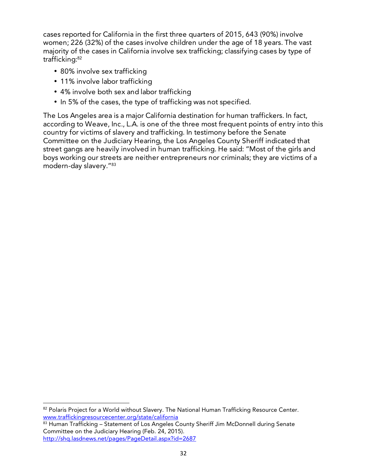cases reported for California in the first three quarters of 2015, 643 (90%) involve women; 226 (32%) of the cases involve children under the age of 18 years. The vast majority of the cases in California involve sex trafficking; classifying cases by type of trafficking:<sup>82</sup>

- 80% involve sex trafficking
- 11% involve labor trafficking

<u> 1989 - Jan Samuel Barbara, político establecido de la provincia de la provincia de la provincia de la provinci</u>

- 4% involve both sex and labor trafficking
- In 5% of the cases, the type of trafficking was not specified.

The Los Angeles area is a major California destination for human traffickers. In fact, according to Weave, Inc., L.A. is one of the three most frequent points of entry into this country for victims of slavery and trafficking. In testimony before the Senate Committee on the Judiciary Hearing, the Los Angeles County Sheriff indicated that street gangs are heavily involved in human trafficking. He said: "Most of the girls and boys working our streets are neither entrepreneurs nor criminals; they are victims of a modern-day slavery."83

<sup>82</sup> Polaris Project for a World without Slavery. The National Human Trafficking Resource Center. www.traffickingresourcecenter.org/state/california

<sup>83</sup> Human Trafficking - Statement of Los Angeles County Sheriff Jim McDonnell during Senate Committee on the Judiciary Hearing (Feb. 24, 2015). http://shq.lasdnews.net/pages/PageDetail.aspx?id=2687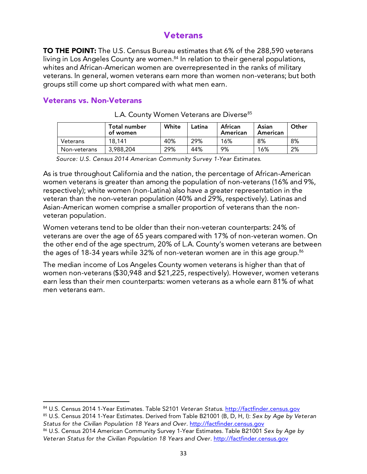# Veterans

TO THE POINT: The U.S. Census Bureau estimates that 6% of the 288,590 veterans living in Los Angeles County are women. <sup>84</sup> In relation to their general populations, whites and African-American women are overrepresented in the ranks of military veterans. In general, women veterans earn more than women non-veterans; but both groups still come up short compared with what men earn.

## Veterans vs. Non-Veterans

<u> 1989 - Jan Samuel Barbara, político establecido de la provincia de la provincia de la provincia de la provinci</u>

|              | Total number<br>of women | White | Latina | African<br>American | Asian<br>American | Other |
|--------------|--------------------------|-------|--------|---------------------|-------------------|-------|
| Veterans     | 18.141                   | 40%   | 29%    | 16%                 | 8%                | 8%    |
| Non-veterans | 3,988,204                | 29%   | 44%    | 9%                  | 16%               | 2%    |

| L.A. County Women Veterans are Diverse <sup>85</sup> |  |  |
|------------------------------------------------------|--|--|
|------------------------------------------------------|--|--|

*Source: U.S. Census 2014 American Community Survey 1-Year Estimates.*

As is true throughout California and the nation, the percentage of African-American women veterans is greater than among the population of non-veterans (16% and 9%, respectively); white women (non-Latina) also have a greater representation in the veteran than the non-veteran population (40% and 29%, respectively). Latinas and Asian-American women comprise a smaller proportion of veterans than the nonveteran population.

Women veterans tend to be older than their non-veteran counterparts: 24% of veterans are over the age of 65 years compared with 17% of non-veteran women. On the other end of the age spectrum, 20% of L.A. County's women veterans are between the ages of 18-34 years while 32% of non-veteran women are in this age group. $^{\rm 86}$ 

The median income of Los Angeles County women veterans is higher than that of women non-veterans (\$30,948 and \$21,225, respectively). However, women veterans earn less than their men counterparts: women veterans as a whole earn 81% of what men veterans earn.

<sup>84</sup> U.S. Census 2014 1-Year Estimates. Table S2101 *Veteran Status*. http://factfinder.census.gov

<sup>85</sup> U.S. Census 2014 1-Year Estimates. Derived from Table B21001 (B, D, H, I): *Sex by Age by Veteran Status for the Civilian Population 18 Years and Over*. http://factfinder.census.gov

<sup>86</sup> U.S. Census 2014 American Community Survey 1-Year Estimates. Table B21001 *Sex by Age by*  Veteran Status for the Civilian Population 18 Years and Over. http://factfinder.census.gov